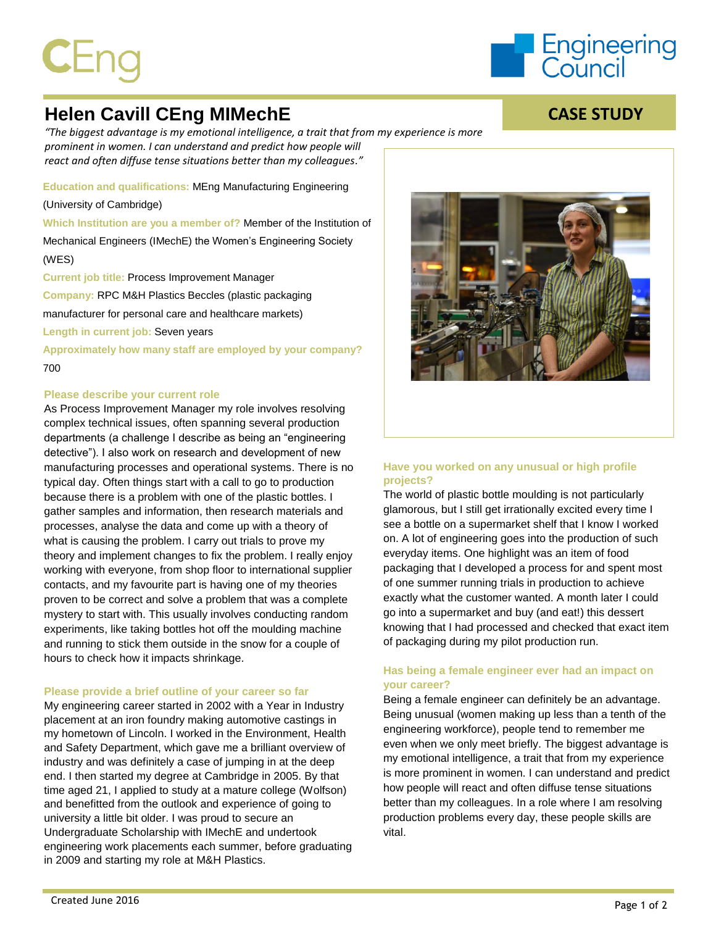# $\mathsf{CEn}$



**CASE STUDY**

# **Helen Cavill CEng MIMechE**

*"The biggest advantage is my emotional intelligence, a trait that from my experience is more prominent in women. I can understand and predict how people will react and often diffuse tense situations better than my colleagues."*

**Education and qualifications:** MEng Manufacturing Engineering

(University of Cambridge)

**Which Institution are you a member of?** Member of the Institution of Mechanical Engineers (IMechE) the Women's Engineering Society (WES)

**Current job title:** Process Improvement Manager **Company:** RPC M&H Plastics Beccles (plastic packaging manufacturer for personal care and healthcare markets) **Length in current job:** Seven years

**Approximately how many staff are employed by your company?** 700

#### **Please describe your current role**

As Process Improvement Manager my role involves resolving complex technical issues, often spanning several production departments (a challenge I describe as being an "engineering detective"). I also work on research and development of new manufacturing processes and operational systems. There is no typical day. Often things start with a call to go to production because there is a problem with one of the plastic bottles. I gather samples and information, then research materials and processes, analyse the data and come up with a theory of what is causing the problem. I carry out trials to prove my theory and implement changes to fix the problem. I really enjoy working with everyone, from shop floor to international supplier contacts, and my favourite part is having one of my theories proven to be correct and solve a problem that was a complete mystery to start with. This usually involves conducting random experiments, like taking bottles hot off the moulding machine and running to stick them outside in the snow for a couple of hours to check how it impacts shrinkage.

## **Please provide a brief outline of your career so far**

My engineering career started in 2002 with a Year in Industry placement at an iron foundry making automotive castings in my hometown of Lincoln. I worked in the Environment, Health and Safety Department, which gave me a brilliant overview of industry and was definitely a case of jumping in at the deep end. I then started my degree at Cambridge in 2005. By that time aged 21, I applied to study at a mature college (Wolfson) and benefitted from the outlook and experience of going to university a little bit older. I was proud to secure an Undergraduate Scholarship with IMechE and undertook engineering work placements each summer, before graduating in 2009 and starting my role at M&H Plastics.



# **Have you worked on any unusual or high profile projects?**

The world of plastic bottle moulding is not particularly glamorous, but I still get irrationally excited every time I see a bottle on a supermarket shelf that I know I worked on. A lot of engineering goes into the production of such everyday items. One highlight was an item of food packaging that I developed a process for and spent most of one summer running trials in production to achieve exactly what the customer wanted. A month later I could go into a supermarket and buy (and eat!) this dessert knowing that I had processed and checked that exact item of packaging during my pilot production run.

# **Has being a female engineer ever had an impact on your career?**

Being a female engineer can definitely be an advantage. Being unusual (women making up less than a tenth of the engineering workforce), people tend to remember me even when we only meet briefly. The biggest advantage is my emotional intelligence, a trait that from my experience is more prominent in women. I can understand and predict how people will react and often diffuse tense situations better than my colleagues. In a role where I am resolving production problems every day, these people skills are vital.